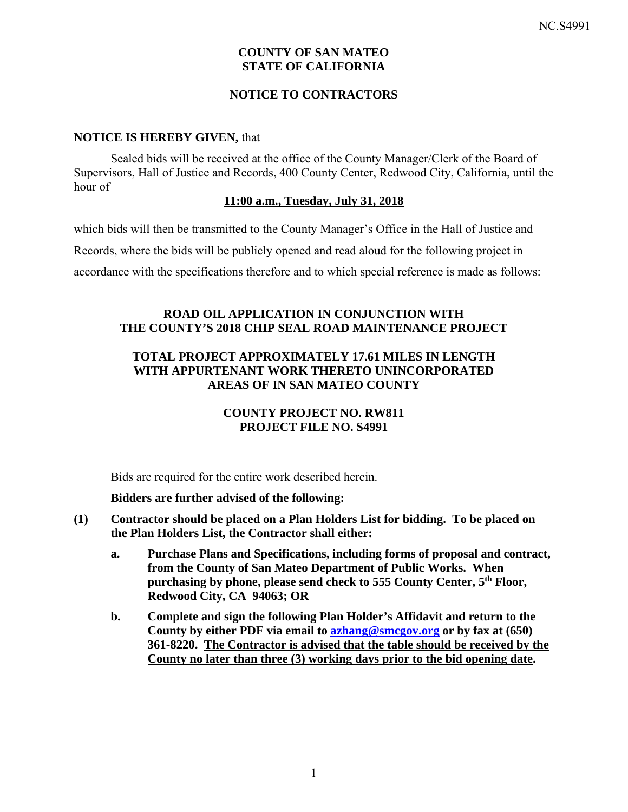## **COUNTY OF SAN MATEO STATE OF CALIFORNIA**

## **NOTICE TO CONTRACTORS**

#### **NOTICE IS HEREBY GIVEN,** that

Sealed bids will be received at the office of the County Manager/Clerk of the Board of Supervisors, Hall of Justice and Records, 400 County Center, Redwood City, California, until the hour of

#### **11:00 a.m., Tuesday, July 31, 2018**

which bids will then be transmitted to the County Manager's Office in the Hall of Justice and

Records, where the bids will be publicly opened and read aloud for the following project in

accordance with the specifications therefore and to which special reference is made as follows:

### **ROAD OIL APPLICATION IN CONJUNCTION WITH THE COUNTY'S 2018 CHIP SEAL ROAD MAINTENANCE PROJECT**

## **TOTAL PROJECT APPROXIMATELY 17.61 MILES IN LENGTH WITH APPURTENANT WORK THERETO UNINCORPORATED AREAS OF IN SAN MATEO COUNTY**

## **COUNTY PROJECT NO. RW811 PROJECT FILE NO. S4991**

Bids are required for the entire work described herein.

### **Bidders are further advised of the following:**

- **(1) Contractor should be placed on a Plan Holders List for bidding. To be placed on the Plan Holders List, the Contractor shall either:** 
	- **a. Purchase Plans and Specifications, including forms of proposal and contract, from the County of San Mateo Department of Public Works. When purchasing by phone, please send check to 555 County Center, 5th Floor, Redwood City, CA 94063; OR**
	- **b. Complete and sign the following Plan Holder's Affidavit and return to the County by either PDF via email to azhang@smcgov.org or by fax at (650) 361-8220. The Contractor is advised that the table should be received by the County no later than three (3) working days prior to the bid opening date.**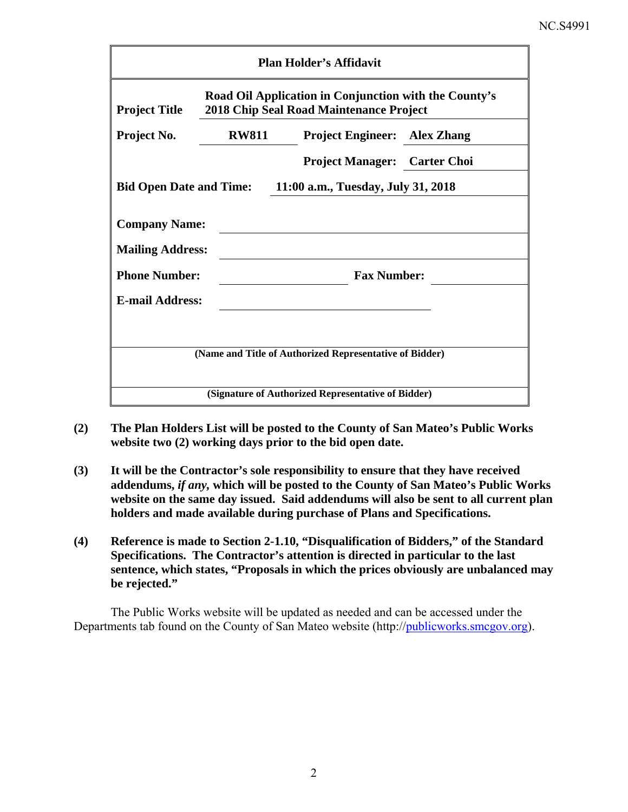| <b>Plan Holder's Affidavit</b>                                                                                           |              |                                     |  |  |  |  |
|--------------------------------------------------------------------------------------------------------------------------|--------------|-------------------------------------|--|--|--|--|
| Road Oil Application in Conjunction with the County's<br>2018 Chip Seal Road Maintenance Project<br><b>Project Title</b> |              |                                     |  |  |  |  |
| Project No.                                                                                                              | <b>RW811</b> | <b>Project Engineer:</b> Alex Zhang |  |  |  |  |
|                                                                                                                          |              | <b>Project Manager: Carter Choi</b> |  |  |  |  |
| 11:00 a.m., Tuesday, July 31, 2018<br><b>Bid Open Date and Time:</b>                                                     |              |                                     |  |  |  |  |
| <b>Company Name:</b><br><b>Mailing Address:</b>                                                                          |              |                                     |  |  |  |  |
| <b>Phone Number:</b>                                                                                                     |              | <b>Fax Number:</b>                  |  |  |  |  |
| <b>E-mail Address:</b>                                                                                                   |              |                                     |  |  |  |  |
|                                                                                                                          |              |                                     |  |  |  |  |
| (Name and Title of Authorized Representative of Bidder)                                                                  |              |                                     |  |  |  |  |
| (Signature of Authorized Representative of Bidder)                                                                       |              |                                     |  |  |  |  |

- **(2) The Plan Holders List will be posted to the County of San Mateo's Public Works website two (2) working days prior to the bid open date.**
- **(3) It will be the Contractor's sole responsibility to ensure that they have received addendums,** *if any,* **which will be posted to the County of San Mateo's Public Works website on the same day issued. Said addendums will also be sent to all current plan holders and made available during purchase of Plans and Specifications.**
- **(4) Reference is made to Section 2-1.10, "Disqualification of Bidders," of the Standard Specifications. The Contractor's attention is directed in particular to the last sentence, which states, "Proposals in which the prices obviously are unbalanced may be rejected."**

The Public Works website will be updated as needed and can be accessed under the Departments tab found on the County of San Mateo website (http://publicworks.smcgov.org).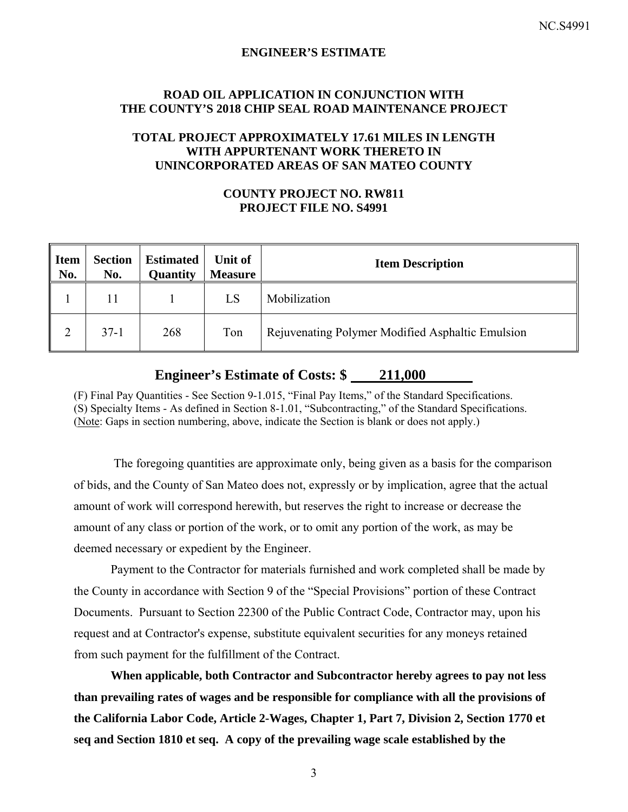#### **ENGINEER'S ESTIMATE**

#### **ROAD OIL APPLICATION IN CONJUNCTION WITH THE COUNTY'S 2018 CHIP SEAL ROAD MAINTENANCE PROJECT**

## **TOTAL PROJECT APPROXIMATELY 17.61 MILES IN LENGTH WITH APPURTENANT WORK THERETO IN UNINCORPORATED AREAS OF SAN MATEO COUNTY**

## **COUNTY PROJECT NO. RW811 PROJECT FILE NO. S4991**

| Item<br>No. | <b>Section</b><br>No. | <b>Estimated</b><br>Quantity | Unit of<br><b>Measure</b> | <b>Item Description</b>                          |
|-------------|-----------------------|------------------------------|---------------------------|--------------------------------------------------|
|             | 11                    |                              | LS                        | Mobilization                                     |
|             | $37-1$                | 268                          | Ton                       | Rejuvenating Polymer Modified Asphaltic Emulsion |

# **Engineer's Estimate of Costs: \$ 211,000**

(F) Final Pay Quantities - See Section 9-1.015, "Final Pay Items," of the Standard Specifications. (S) Specialty Items - As defined in Section 8-1.01, "Subcontracting," of the Standard Specifications. (Note: Gaps in section numbering, above, indicate the Section is blank or does not apply.)

 The foregoing quantities are approximate only, being given as a basis for the comparison of bids, and the County of San Mateo does not, expressly or by implication, agree that the actual amount of work will correspond herewith, but reserves the right to increase or decrease the amount of any class or portion of the work, or to omit any portion of the work, as may be deemed necessary or expedient by the Engineer.

Payment to the Contractor for materials furnished and work completed shall be made by the County in accordance with Section 9 of the "Special Provisions" portion of these Contract Documents. Pursuant to Section 22300 of the Public Contract Code, Contractor may, upon his request and at Contractor's expense, substitute equivalent securities for any moneys retained from such payment for the fulfillment of the Contract.

**When applicable, both Contractor and Subcontractor hereby agrees to pay not less than prevailing rates of wages and be responsible for compliance with all the provisions of the California Labor Code, Article 2-Wages, Chapter 1, Part 7, Division 2, Section 1770 et seq and Section 1810 et seq. A copy of the prevailing wage scale established by the**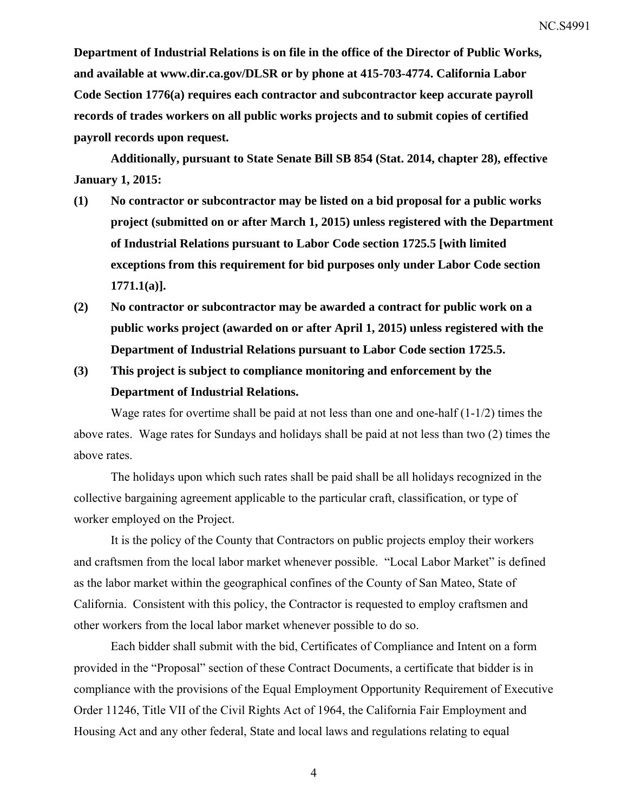**Department of Industrial Relations is on file in the office of the Director of Public Works, and available at www.dir.ca.gov/DLSR or by phone at 415-703-4774. California Labor Code Section 1776(a) requires each contractor and subcontractor keep accurate payroll records of trades workers on all public works projects and to submit copies of certified payroll records upon request.** 

**Additionally, pursuant to State Senate Bill SB 854 (Stat. 2014, chapter 28), effective January 1, 2015:** 

- **(1) No contractor or subcontractor may be listed on a bid proposal for a public works project (submitted on or after March 1, 2015) unless registered with the Department of Industrial Relations pursuant to Labor Code section 1725.5 [with limited exceptions from this requirement for bid purposes only under Labor Code section 1771.1(a)].**
- **(2) No contractor or subcontractor may be awarded a contract for public work on a public works project (awarded on or after April 1, 2015) unless registered with the Department of Industrial Relations pursuant to Labor Code section 1725.5.**
- **(3) This project is subject to compliance monitoring and enforcement by the Department of Industrial Relations.**

Wage rates for overtime shall be paid at not less than one and one-half  $(1-1/2)$  times the above rates. Wage rates for Sundays and holidays shall be paid at not less than two (2) times the above rates.

The holidays upon which such rates shall be paid shall be all holidays recognized in the collective bargaining agreement applicable to the particular craft, classification, or type of worker employed on the Project.

It is the policy of the County that Contractors on public projects employ their workers and craftsmen from the local labor market whenever possible. "Local Labor Market" is defined as the labor market within the geographical confines of the County of San Mateo, State of California. Consistent with this policy, the Contractor is requested to employ craftsmen and other workers from the local labor market whenever possible to do so.

Each bidder shall submit with the bid, Certificates of Compliance and Intent on a form provided in the "Proposal" section of these Contract Documents, a certificate that bidder is in compliance with the provisions of the Equal Employment Opportunity Requirement of Executive Order 11246, Title VII of the Civil Rights Act of 1964, the California Fair Employment and Housing Act and any other federal, State and local laws and regulations relating to equal

4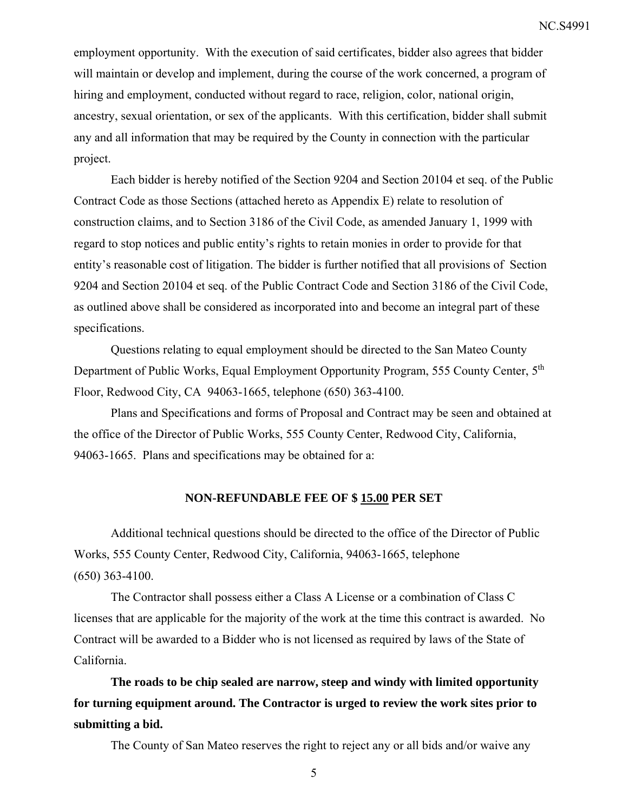employment opportunity. With the execution of said certificates, bidder also agrees that bidder will maintain or develop and implement, during the course of the work concerned, a program of hiring and employment, conducted without regard to race, religion, color, national origin, ancestry, sexual orientation, or sex of the applicants. With this certification, bidder shall submit any and all information that may be required by the County in connection with the particular project.

Each bidder is hereby notified of the Section 9204 and Section 20104 et seq. of the Public Contract Code as those Sections (attached hereto as Appendix E) relate to resolution of construction claims, and to Section 3186 of the Civil Code, as amended January 1, 1999 with regard to stop notices and public entity's rights to retain monies in order to provide for that entity's reasonable cost of litigation. The bidder is further notified that all provisions of Section 9204 and Section 20104 et seq. of the Public Contract Code and Section 3186 of the Civil Code, as outlined above shall be considered as incorporated into and become an integral part of these specifications.

Questions relating to equal employment should be directed to the San Mateo County Department of Public Works, Equal Employment Opportunity Program, 555 County Center, 5<sup>th</sup> Floor, Redwood City, CA 94063-1665, telephone (650) 363-4100.

Plans and Specifications and forms of Proposal and Contract may be seen and obtained at the office of the Director of Public Works, 555 County Center, Redwood City, California, 94063-1665. Plans and specifications may be obtained for a:

### **NON-REFUNDABLE FEE OF \$ 15.00 PER SET**

Additional technical questions should be directed to the office of the Director of Public Works, 555 County Center, Redwood City, California, 94063-1665, telephone (650) 363-4100.

The Contractor shall possess either a Class A License or a combination of Class C licenses that are applicable for the majority of the work at the time this contract is awarded. No Contract will be awarded to a Bidder who is not licensed as required by laws of the State of California.

**The roads to be chip sealed are narrow, steep and windy with limited opportunity for turning equipment around. The Contractor is urged to review the work sites prior to submitting a bid.** 

The County of San Mateo reserves the right to reject any or all bids and/or waive any

5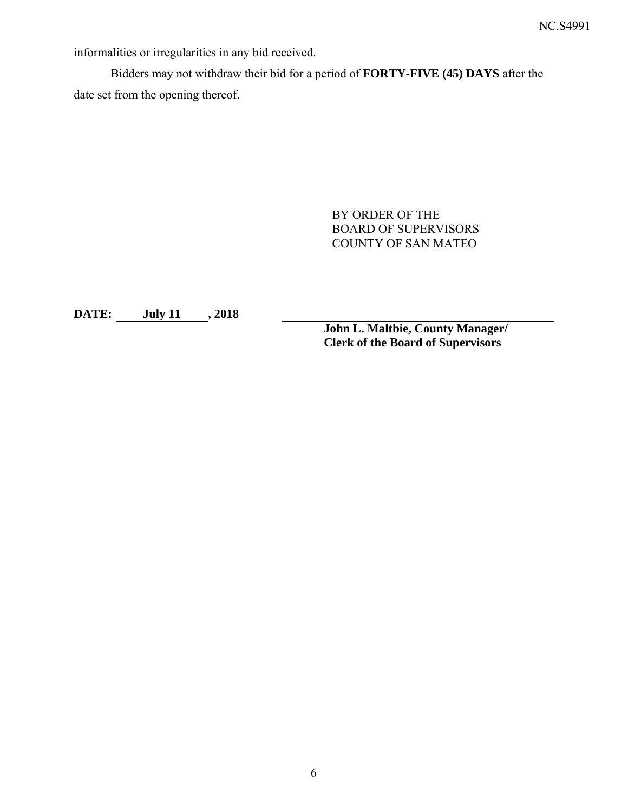informalities or irregularities in any bid received.

Bidders may not withdraw their bid for a period of **FORTY-FIVE (45) DAYS** after the date set from the opening thereof.

> BY ORDER OF THE BOARD OF SUPERVISORS COUNTY OF SAN MATEO

**DATE: July 11 , 2018** 

**John L. Maltbie, County Manager/ Clerk of the Board of Supervisors**